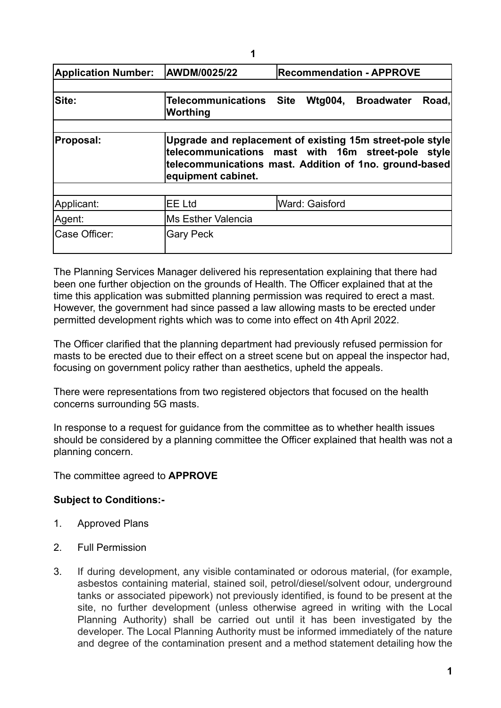| <b>Application Number:</b> | AWDM/0025/22                                                                                                                                                                                    | <b>Recommendation - APPROVE</b> |                |  |       |
|----------------------------|-------------------------------------------------------------------------------------------------------------------------------------------------------------------------------------------------|---------------------------------|----------------|--|-------|
| Site:                      | Telecommunications Site Wtg004, Broadwater<br>Worthing                                                                                                                                          |                                 |                |  | Road, |
| <b>Proposal:</b>           | Upgrade and replacement of existing 15m street-pole style<br>telecommunications mast with 16m street-pole style<br>telecommunications mast. Addition of 1no. ground-based<br>equipment cabinet. |                                 |                |  |       |
|                            |                                                                                                                                                                                                 |                                 |                |  |       |
| Applicant:<br>Agent:       | <b>IEE Ltd</b><br><b>Ms Esther Valencia</b>                                                                                                                                                     |                                 | Ward: Gaisford |  |       |
| Case Officer:              | <b>Gary Peck</b>                                                                                                                                                                                |                                 |                |  |       |

The Planning Services Manager delivered his representation explaining that there had been one further objection on the grounds of Health. The Officer explained that at the time this application was submitted planning permission was required to erect a mast. However, the government had since passed a law allowing masts to be erected under permitted development rights which was to come into effect on 4th April 2022.

The Officer clarified that the planning department had previously refused permission for masts to be erected due to their effect on a street scene but on appeal the inspector had, focusing on government policy rather than aesthetics, upheld the appeals.

There were representations from two registered objectors that focused on the health concerns surrounding 5G masts.

In response to a request for guidance from the committee as to whether health issues should be considered by a planning committee the Officer explained that health was not a planning concern.

The committee agreed to **APPROVE**

## **Subject to Conditions:-**

- 1. Approved Plans
- 2. Full Permission
- 3. If during development, any visible contaminated or odorous material, (for example, asbestos containing material, stained soil, petrol/diesel/solvent odour, underground tanks or associated pipework) not previously identified, is found to be present at the site, no further development (unless otherwise agreed in writing with the Local Planning Authority) shall be carried out until it has been investigated by the developer. The Local Planning Authority must be informed immediately of the nature and degree of the contamination present and a method statement detailing how the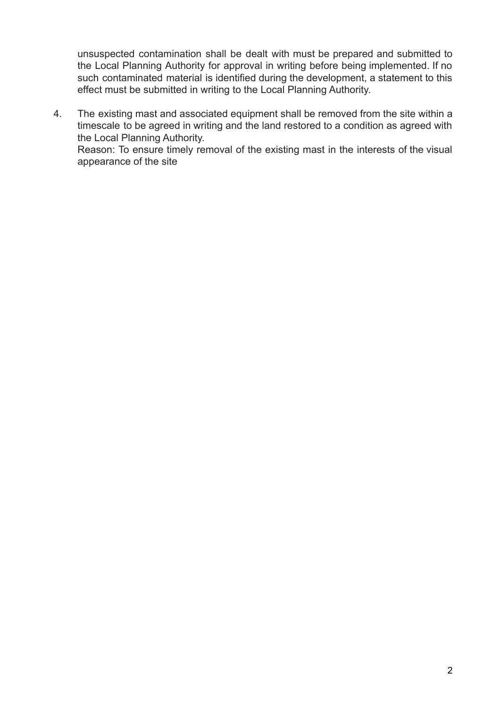unsuspected contamination shall be dealt with must be prepared and submitted to the Local Planning Authority for approval in writing before being implemented. If no such contaminated material is identified during the development, a statement to this effect must be submitted in writing to the Local Planning Authority.

4. The existing mast and associated equipment shall be removed from the site within a timescale to be agreed in writing and the land restored to a condition as agreed with the Local Planning Authority.

Reason: To ensure timely removal of the existing mast in the interests of the visual appearance of the site